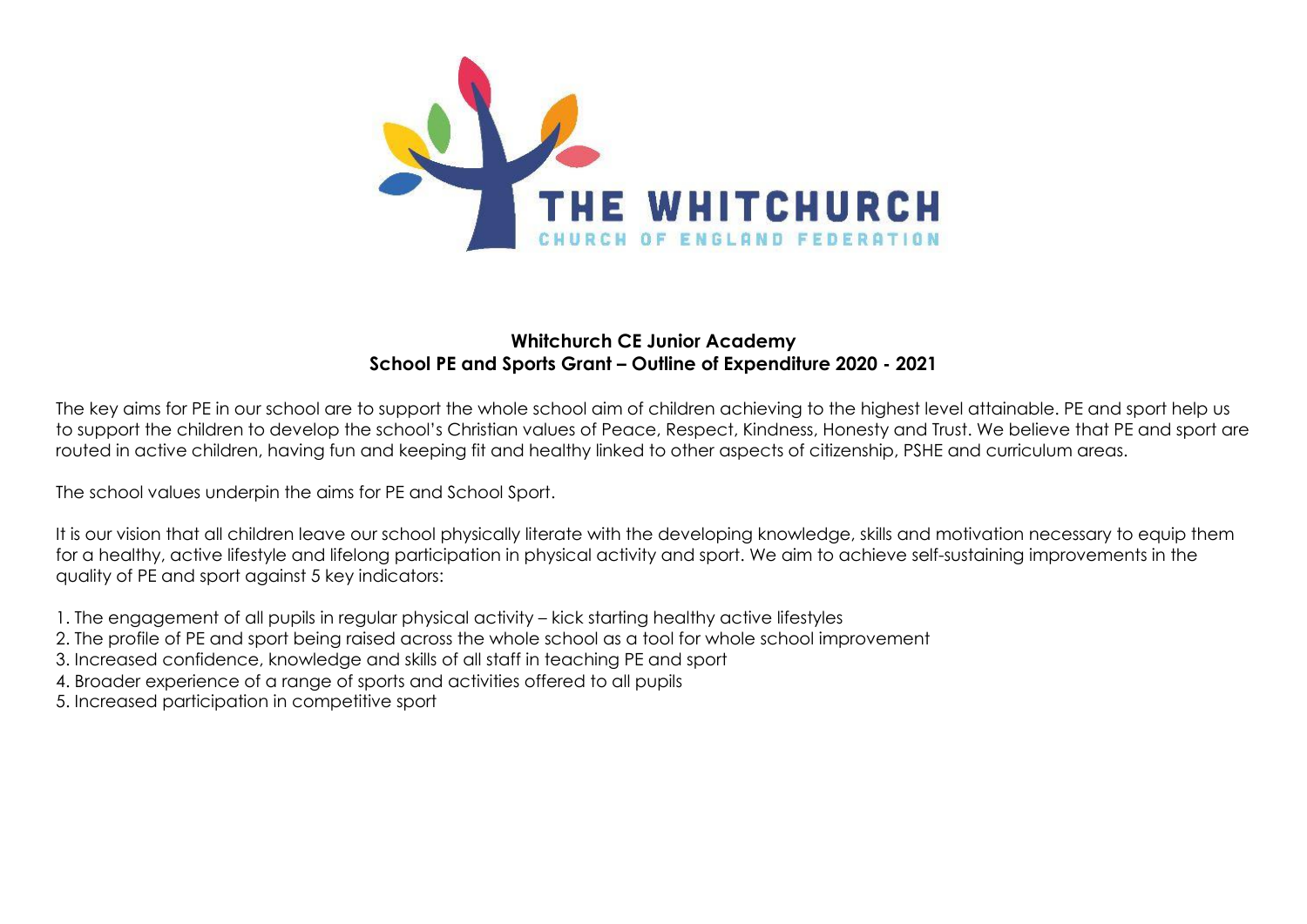

## **Whitchurch CE Junior Academy School PE and Sports Grant – Outline of Expenditure 2020 - 2021**

The key aims for PE in our school are to support the whole school aim of children achieving to the highest level attainable. PE and sport help us to support the children to develop the school's Christian values of Peace, Respect, Kindness, Honesty and Trust. We believe that PE and sport are routed in active children, having fun and keeping fit and healthy linked to other aspects of citizenship, PSHE and curriculum areas.

The school values underpin the aims for PE and School Sport.

It is our vision that all children leave our school physically literate with the developing knowledge, skills and motivation necessary to equip them for a healthy, active lifestyle and lifelong participation in physical activity and sport. We aim to achieve self-sustaining improvements in the quality of PE and sport against 5 key indicators:

- 1. The engagement of all pupils in regular physical activity kick starting healthy active lifestyles
- 2. The profile of PE and sport being raised across the whole school as a tool for whole school improvement
- 3. Increased confidence, knowledge and skills of all staff in teaching PE and sport
- 4. Broader experience of a range of sports and activities offered to all pupils
- 5. Increased participation in competitive sport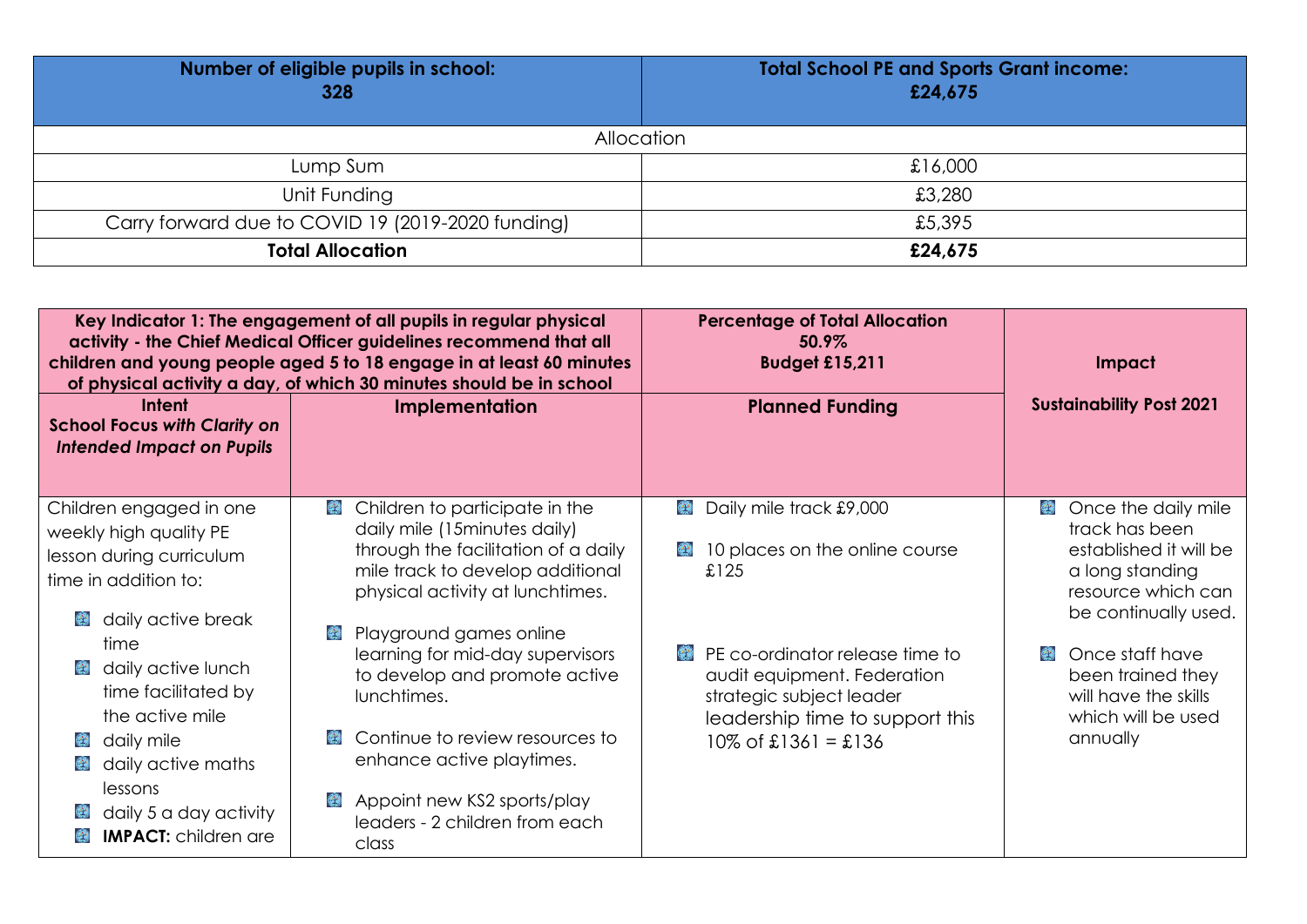| Number of eligible pupils in school:<br>328       | <b>Total School PE and Sports Grant income:</b><br>£24,675 |
|---------------------------------------------------|------------------------------------------------------------|
| Allocation                                        |                                                            |
| Lump Sum                                          | £16,000                                                    |
| Unit Funding                                      | £3,280                                                     |
| Carry forward due to COVID 19 (2019-2020 funding) | £5,395                                                     |
| <b>Total Allocation</b>                           | £24,675                                                    |

|                                                                                                                                                                                                                                                           | Key Indicator 1: The engagement of all pupils in regular physical<br>activity - the Chief Medical Officer guidelines recommend that all<br>children and young people aged 5 to 18 engage in at least 60 minutes<br>of physical activity a day, of which 30 minutes should be in school                                                 | <b>Percentage of Total Allocation</b><br>50.9%<br><b>Budget £15,211</b>                                                                                        | <b>Impact</b>                                                                                                                            |
|-----------------------------------------------------------------------------------------------------------------------------------------------------------------------------------------------------------------------------------------------------------|----------------------------------------------------------------------------------------------------------------------------------------------------------------------------------------------------------------------------------------------------------------------------------------------------------------------------------------|----------------------------------------------------------------------------------------------------------------------------------------------------------------|------------------------------------------------------------------------------------------------------------------------------------------|
| Intent<br><b>School Focus with Clarity on</b><br><b>Intended Impact on Pupils</b>                                                                                                                                                                         | <b>Implementation</b>                                                                                                                                                                                                                                                                                                                  | <b>Planned Funding</b>                                                                                                                                         | <b>Sustainability Post 2021</b>                                                                                                          |
| Children engaged in one<br>weekly high quality PE<br>lesson during curriculum<br>time in addition to:<br>daily active break<br>$\left(\frac{1}{2}\right)^{1/2}$                                                                                           | Children to participate in the<br>$\mathcal{L}^{\mathbf{A},\mathbf{A}}_{\mathbf{A},\mathbf{B}}$<br>daily mile (15 minutes daily)<br>through the facilitation of a daily<br>mile track to develop additional<br>physical activity at lunchtimes.                                                                                        | <b>Daily mile track £9,000</b><br>10 places on the online course<br>۳<br>£125                                                                                  | <b>Conce the daily mile</b><br>track has been<br>established it will be<br>a long standing<br>resource which can<br>be continually used. |
| time<br>daily active lunch<br>$\mathbb{R}^{14}$<br>time facilitated by<br>the active mile<br>daily mile<br>$\mathbb{R}^{N}$<br>daily active maths<br>$\left(\frac{1}{2}\right)^{1/2}$<br>lessons<br>daily 5 a day activity<br><b>IMPACT:</b> children are | Playground games online<br>$\mathcal{L}^{\mathcal{A}}$<br>learning for mid-day supervisors<br>to develop and promote active<br>lunchtimes.<br>Continue to review resources to<br>$\mathbf{C}$<br>enhance active playtimes.<br>Appoint new KS2 sports/play<br>$\left(\frac{1}{2}\right)^{n}$<br>leaders - 2 children from each<br>class | <b>PE</b> co-ordinator release time to<br>audit equipment. Federation<br>strategic subject leader<br>leadership time to support this<br>$10\%$ of £1361 = £136 | Once staff have<br>been trained they<br>will have the skills<br>which will be used<br>annually                                           |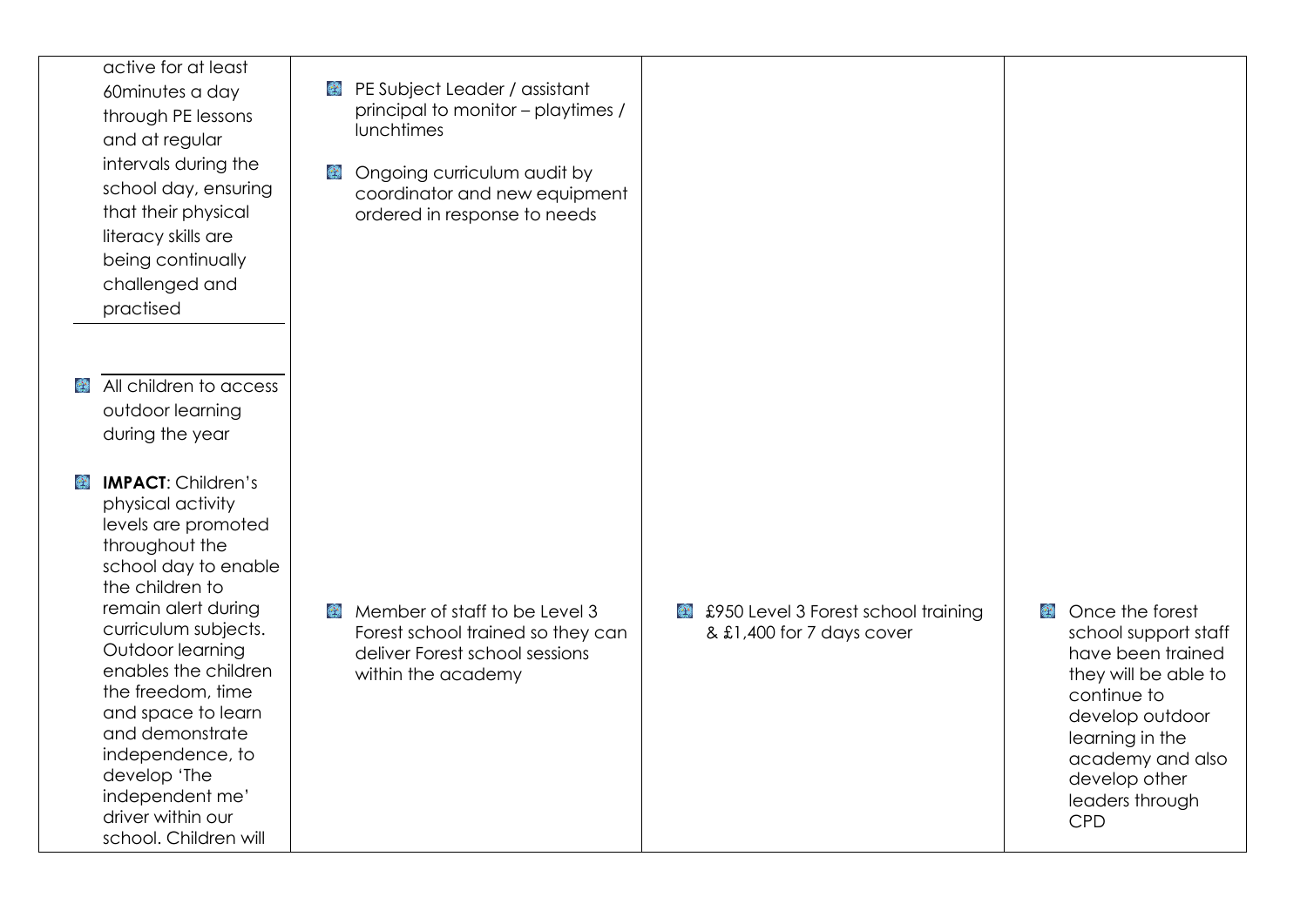active for at least 60minutes a day through PE lessons and at regular intervals during the school day, ensuring that their physical literacy skills are being continually challenged and practised

- All children to access  $\mathcal{L}^{\mathcal{L}}$ outdoor learning during the year
- $\mathbf{C}$ **IMPACT**: Children's physical activity levels are promoted throughout the school day to enable the children to remain alert during curriculum subjects. Outdoor learning enables the children the freedom, time and space to learn and demonstrate independence, to develop 'The independent me' driver within our school. Children will
- PE Subject Leader / assistant principal to monitor – playtimes / lunchtimes
- **B** Ongoing curriculum audit by coordinator and new equipment ordered in response to needs

- Member of staff to be Level 3 Forest school trained so they can deliver Forest school sessions within the academy
- £950 Level 3 Forest school training & £1,400 for 7 days cover

**Conce the forest** school support staff have been trained they will be able to continue to develop outdoor learning in the academy and also develop other leaders through CPD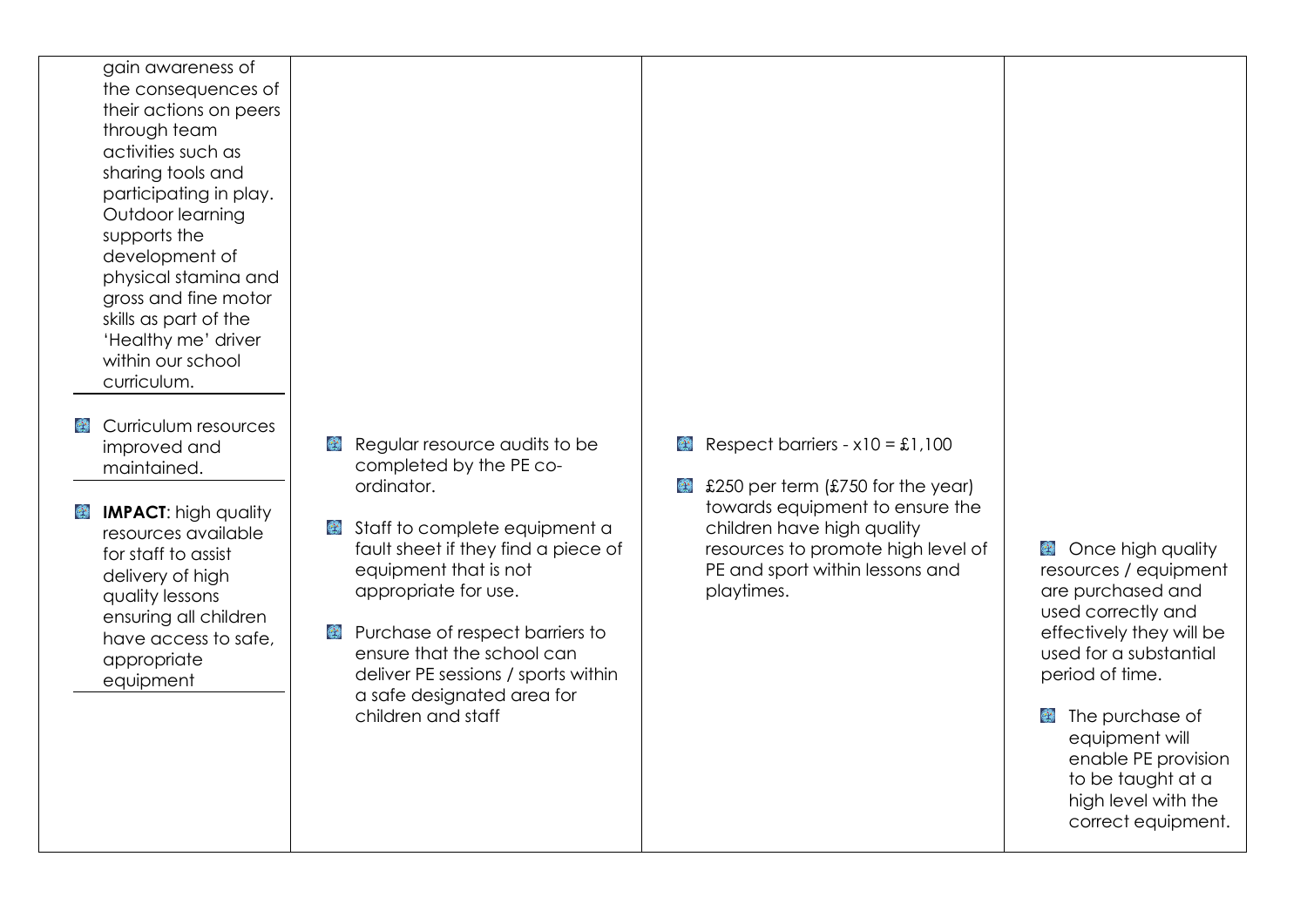gain awareness of the consequences of their actions on peers through team activities such as sharing tools and participating in play. Outdoor learning supports the development of physical stamina and gross and fine motor skills as part of the 'Healthy me' driver within our school curriculum.

- **Curriculum resources** improved and maintained.
- **IMPACT:** high quality **ALC** resources available for staff to assist delivery of high quality lessons ensuring all children have access to safe, appropriate equipment
- Requiar resource audits to be completed by the PE coordinator.
- Staff to complete equipment a fault sheet if they find a piece of equipment that is not appropriate for use.
- **Purchase of respect barriers to** ensure that the school can deliver PE sessions / sports within a safe designated area for children and staff
- Respect barriers  $x10 = £1,100$
- £250 per term (£750 for the year) towards equipment to ensure the children have high quality resources to promote high level of PE and sport within lessons and playtimes.

**Conce high quality** resources / equipment are purchased and used correctly and effectively they will be used for a substantial period of time.

**The purchase of** equipment will enable PE provision to be taught at a high level with the correct equipment.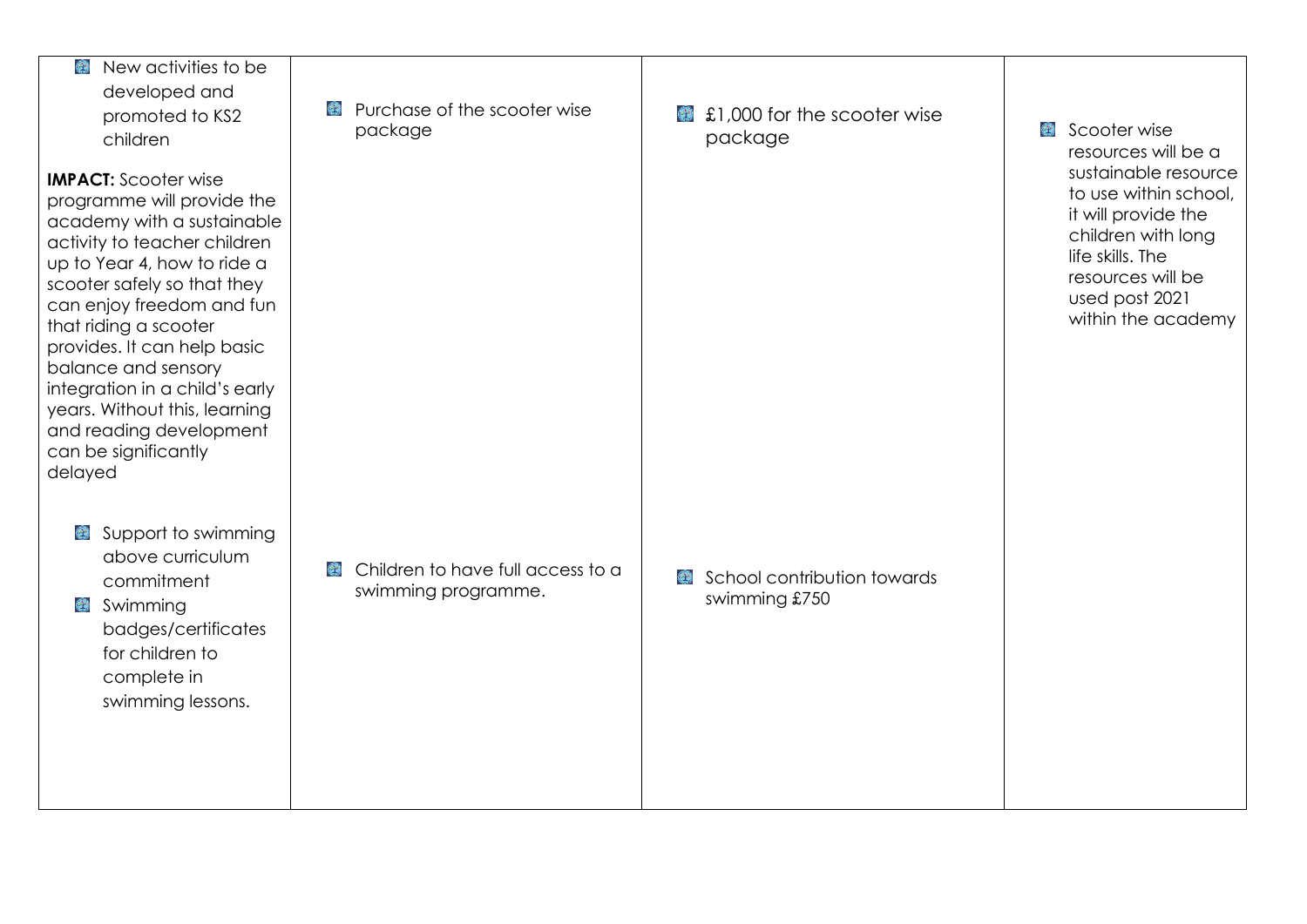| New activities to be<br>$(\mathcal{D}^{\star})$<br>developed and<br>promoted to KS2<br>children                                                                                                                                                                                                                                                                                                                                    | Purchase of the scooter wise<br>$\mathcal{P}^{\mathbf{M}}$<br>package                  | £1,000 for the scooter wise<br>ويتجه<br>package    | Scooter wise<br>resources will be a                                                                                                                                         |
|------------------------------------------------------------------------------------------------------------------------------------------------------------------------------------------------------------------------------------------------------------------------------------------------------------------------------------------------------------------------------------------------------------------------------------|----------------------------------------------------------------------------------------|----------------------------------------------------|-----------------------------------------------------------------------------------------------------------------------------------------------------------------------------|
| <b>IMPACT:</b> Scooter wise<br>programme will provide the<br>academy with a sustainable<br>activity to teacher children<br>up to Year 4, how to ride a<br>scooter safely so that they<br>can enjoy freedom and fun<br>that riding a scooter<br>provides. It can help basic<br>balance and sensory<br>integration in a child's early<br>years. Without this, learning<br>and reading development<br>can be significantly<br>delayed |                                                                                        |                                                    | sustainable resource<br>to use within school,<br>it will provide the<br>children with long<br>life skills. The<br>resources will be<br>used post 2021<br>within the academy |
| Support to swimming<br>€<br>above curriculum<br>commitment<br>Swimming<br>badges/certificates<br>for children to<br>complete in<br>swimming lessons.                                                                                                                                                                                                                                                                               | Children to have full access to a<br>$\mathcal{L}^{\mathbf{A}}$<br>swimming programme. | School contribution towards<br>وي<br>swimming £750 |                                                                                                                                                                             |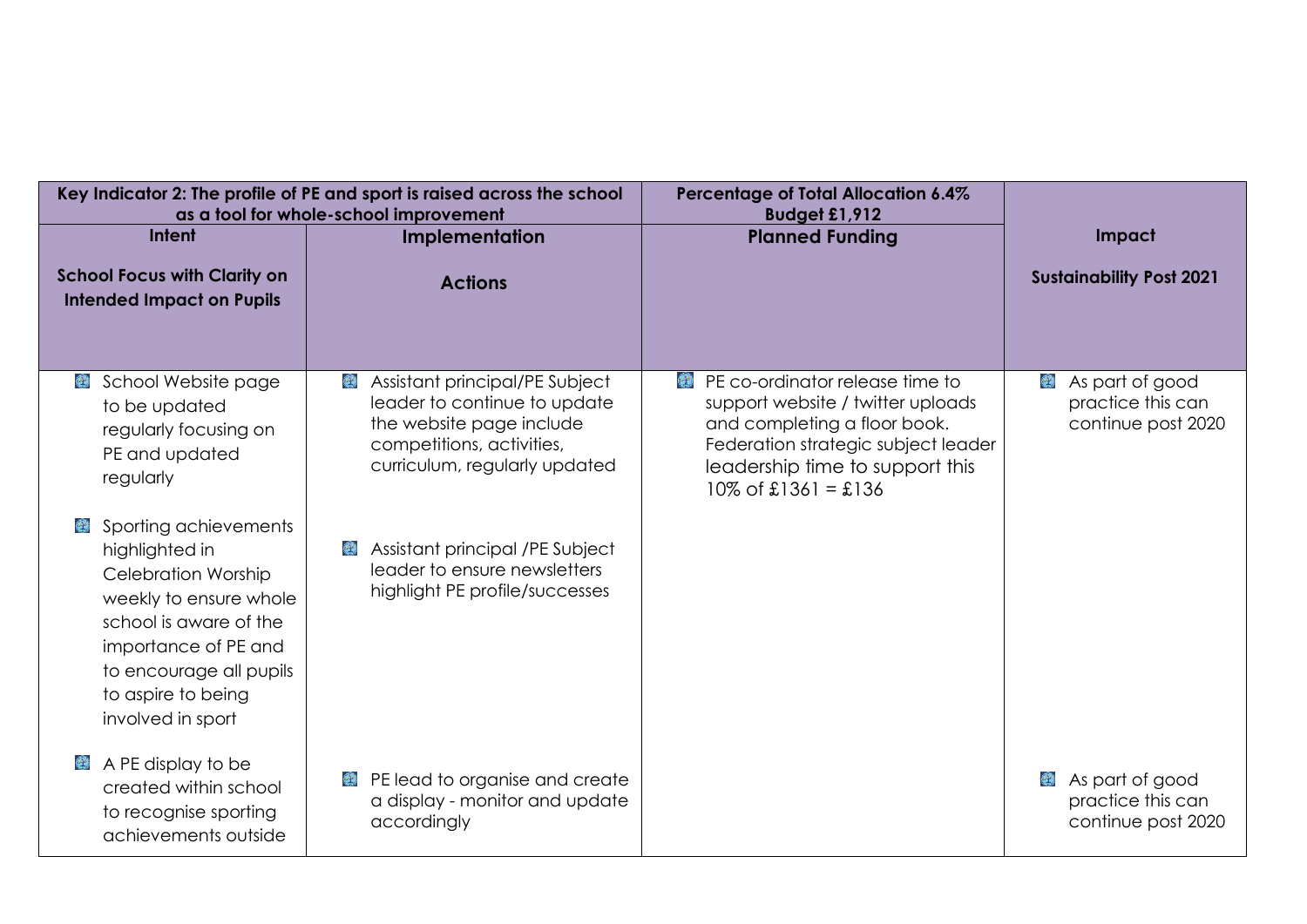|                                                                                                                                                                                                                         | Key Indicator 2: The profile of PE and sport is raised across the school<br>as a tool for whole-school improvement                                                         | Percentage of Total Allocation 6.4%<br>Budget £1,912                                                                                                                                                               |                                                                 |
|-------------------------------------------------------------------------------------------------------------------------------------------------------------------------------------------------------------------------|----------------------------------------------------------------------------------------------------------------------------------------------------------------------------|--------------------------------------------------------------------------------------------------------------------------------------------------------------------------------------------------------------------|-----------------------------------------------------------------|
| Intent                                                                                                                                                                                                                  | Implementation                                                                                                                                                             | <b>Planned Funding</b>                                                                                                                                                                                             | Impact                                                          |
| <b>School Focus with Clarity on</b><br><b>Intended Impact on Pupils</b>                                                                                                                                                 | <b>Actions</b>                                                                                                                                                             |                                                                                                                                                                                                                    | <b>Sustainability Post 2021</b>                                 |
| School Website page<br>$\mathbf{C}$<br>to be updated<br>regularly focusing on<br>PE and updated<br>regularly                                                                                                            | Assistant principal/PE Subject<br>$\mathbb{R}^N$<br>leader to continue to update<br>the website page include<br>competitions, activities,<br>curriculum, regularly updated | <b>EX</b> PE co-ordinator release time to<br>support website / twitter uploads<br>and completing a floor book.<br>Federation strategic subject leader<br>leadership time to support this<br>$10\%$ of £1361 = £136 | As part of good<br>practice this can<br>continue post 2020      |
| Sporting achievements<br>highlighted in<br><b>Celebration Worship</b><br>weekly to ensure whole<br>school is aware of the<br>importance of PE and<br>to encourage all pupils<br>to aspire to being<br>involved in sport | Assistant principal /PE Subject<br>$\mathcal{L}^{\mathbf{A}}$<br>leader to ensure newsletters<br>highlight PE profile/successes                                            |                                                                                                                                                                                                                    |                                                                 |
| A PE display to be<br>created within school<br>to recognise sporting<br>achievements outside                                                                                                                            | PE lead to organise and create<br>$\left(\frac{1}{2},\frac{1}{2}\right)$<br>a display - monitor and update<br>accordingly                                                  |                                                                                                                                                                                                                    | As part of good<br>€<br>practice this can<br>continue post 2020 |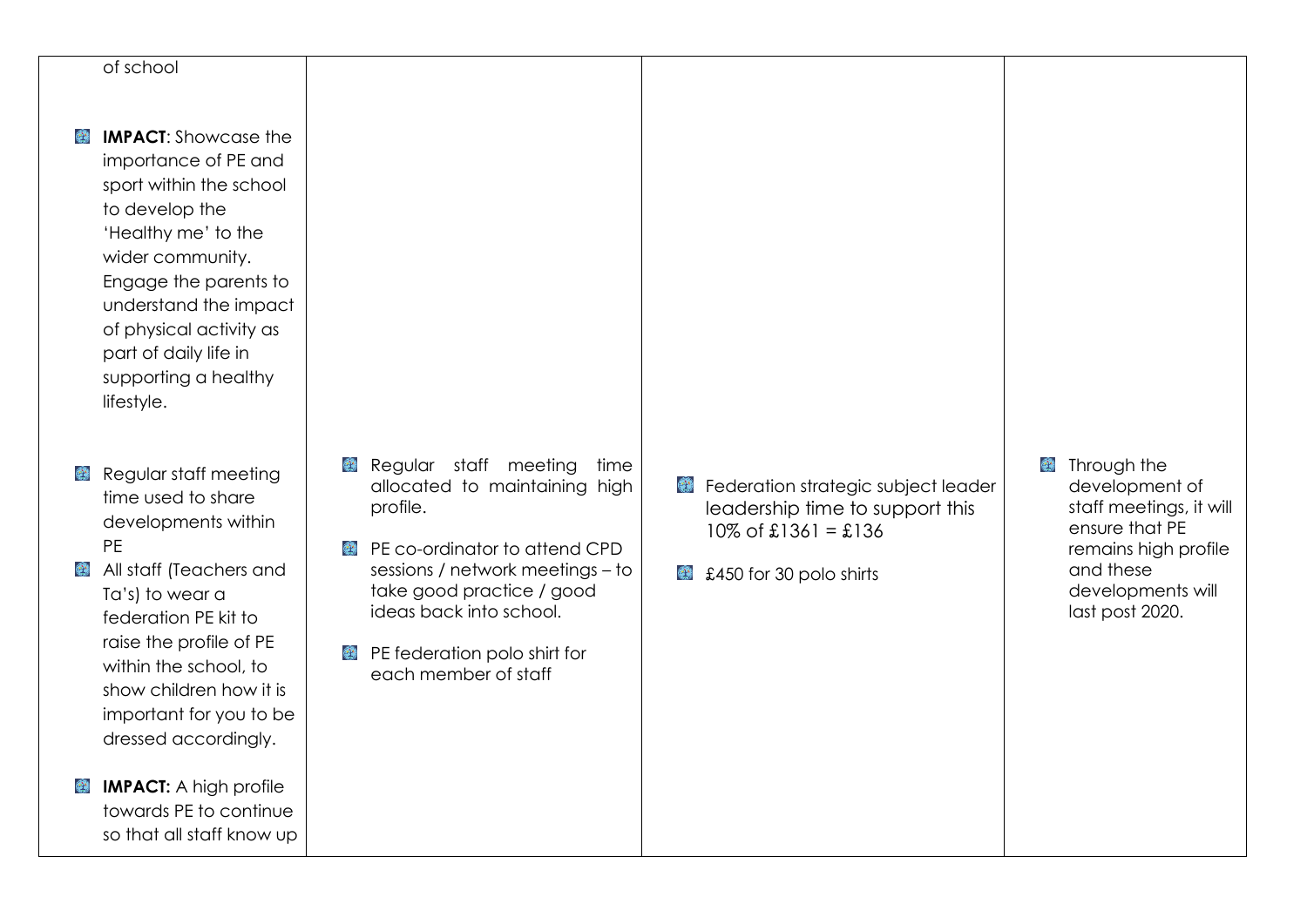## of school

- $\mathcal{L}$ **IMPACT**: Showcase the importance of PE and sport within the school to develop the 'Healthy me' to the wider community. Engage the parents to understand the impact of physical activity as part of daily life in supporting a healthy lifestyle.
- Regular staff meeting  $\mathbf{Q}^{\mathbf{A}}$ time used to share developments within PE
- All staff (Teachers and Ta's) to wear a federation PE kit to raise the profile of PE within the school, to show children how it is important for you to be dressed accordingly.
- **B IMPACT:** A high profile towards PE to continue so that all staff know up
- Requiar staff meeting time allocated to maintaining high profile.
- **PE co-ordinator to attend CPD** sessions / network meetings – to take good practice / good ideas back into school.
- **PE federation polo shirt for** each member of staff
- **Federation strategic subject leader** leadership time to support this  $10\% \text{ of } £1361 = £136$
- **£450 for 30 polo shirts**

**C** Through the development of staff meetings, it will ensure that PE remains high profile and these developments will last post 2020.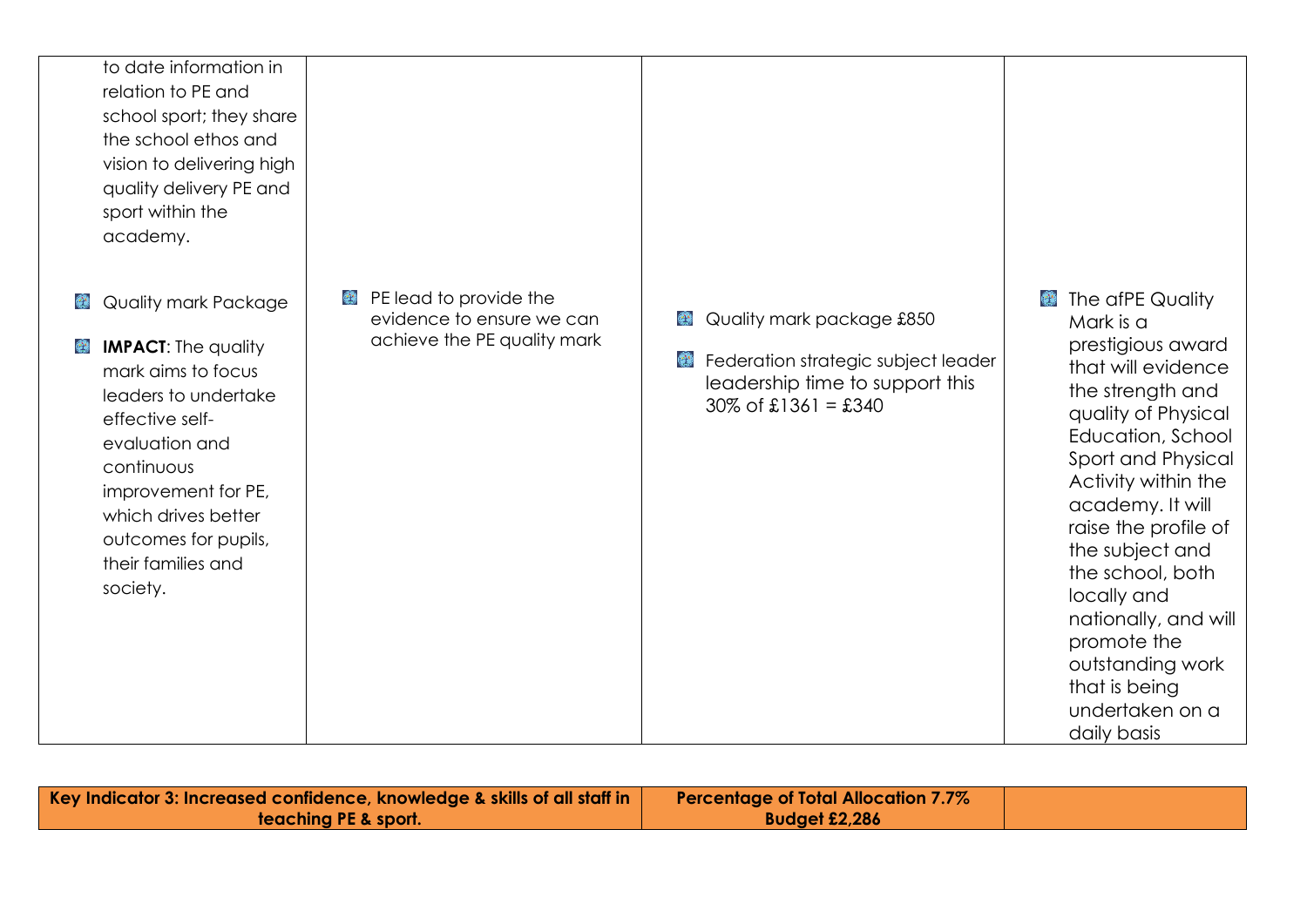|   | to date information in     |                             |                                                           |                                     |
|---|----------------------------|-----------------------------|-----------------------------------------------------------|-------------------------------------|
|   | relation to PE and         |                             |                                                           |                                     |
|   | school sport; they share   |                             |                                                           |                                     |
|   | the school ethos and       |                             |                                                           |                                     |
|   | vision to delivering high  |                             |                                                           |                                     |
|   | quality delivery PE and    |                             |                                                           |                                     |
|   | sport within the           |                             |                                                           |                                     |
|   | academy.                   |                             |                                                           |                                     |
|   |                            |                             |                                                           |                                     |
| ۳ | Quality mark Package       | PE lead to provide the<br>۳ |                                                           | <b>B</b> The afPE Quality           |
|   |                            | evidence to ensure we can   | Quality mark package £850<br>€                            | Mark is a                           |
| ۳ | <b>IMPACT:</b> The quality | achieve the PE quality mark |                                                           | prestigious award                   |
|   | mark aims to focus         |                             | Federation strategic subject leader<br>€                  | that will evidence                  |
|   | leaders to undertake       |                             | leadership time to support this<br>$30\%$ of £1361 = £340 | the strength and                    |
|   | effective self-            |                             |                                                           | quality of Physical                 |
|   | evaluation and             |                             |                                                           | Education, School                   |
|   | continuous                 |                             |                                                           | Sport and Physical                  |
|   | improvement for PE,        |                             |                                                           | Activity within the                 |
|   | which drives better        |                             |                                                           | academy. It will                    |
|   | outcomes for pupils,       |                             |                                                           | raise the profile of                |
|   | their families and         |                             |                                                           | the subject and                     |
|   | society.                   |                             |                                                           | the school, both                    |
|   |                            |                             |                                                           | locally and<br>nationally, and will |
|   |                            |                             |                                                           | promote the                         |
|   |                            |                             |                                                           | outstanding work                    |
|   |                            |                             |                                                           | that is being                       |
|   |                            |                             |                                                           | undertaken on a                     |
|   |                            |                             |                                                           | daily basis                         |

| Key Indicator 3: Increased confidence, knowledge & skills of all staff in $\parallel$ | <b>Percentage of Total Allocation 7.7%</b> |  |
|---------------------------------------------------------------------------------------|--------------------------------------------|--|
| teaching PE & sport.                                                                  | Budget £2,286                              |  |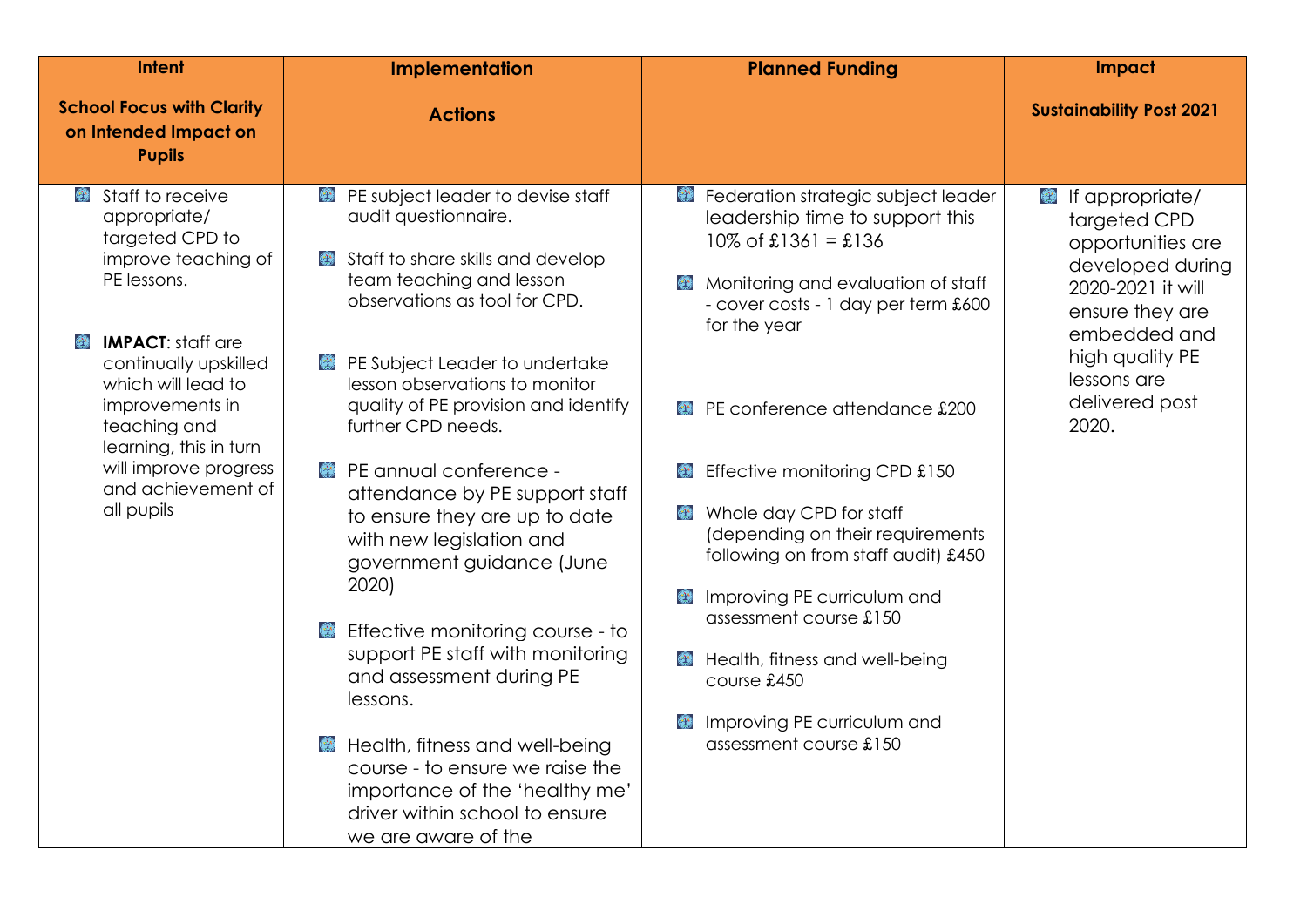| <b>Intent</b>                                                                                                                                                                                                                                                                                                                                            | <b>Implementation</b>                                                                                                                                                                                                                                                                                                                                                                                                                                                                                                                                                                                                                                                                                                                                                                                   | <b>Planned Funding</b>                                                                                                                                                                                                                                                                                                                                                                                                                                                                                                                                                                                                          | Impact                                                                                                                                                                                             |
|----------------------------------------------------------------------------------------------------------------------------------------------------------------------------------------------------------------------------------------------------------------------------------------------------------------------------------------------------------|---------------------------------------------------------------------------------------------------------------------------------------------------------------------------------------------------------------------------------------------------------------------------------------------------------------------------------------------------------------------------------------------------------------------------------------------------------------------------------------------------------------------------------------------------------------------------------------------------------------------------------------------------------------------------------------------------------------------------------------------------------------------------------------------------------|---------------------------------------------------------------------------------------------------------------------------------------------------------------------------------------------------------------------------------------------------------------------------------------------------------------------------------------------------------------------------------------------------------------------------------------------------------------------------------------------------------------------------------------------------------------------------------------------------------------------------------|----------------------------------------------------------------------------------------------------------------------------------------------------------------------------------------------------|
| <b>School Focus with Clarity</b><br>on Intended Impact on<br><b>Pupils</b>                                                                                                                                                                                                                                                                               | <b>Actions</b>                                                                                                                                                                                                                                                                                                                                                                                                                                                                                                                                                                                                                                                                                                                                                                                          |                                                                                                                                                                                                                                                                                                                                                                                                                                                                                                                                                                                                                                 | <b>Sustainability Post 2021</b>                                                                                                                                                                    |
| Staff to receive<br>$\mathbf{C}$<br>appropriate/<br>targeted CPD to<br>improve teaching of<br>PE lessons.<br><b>IMPACT:</b> staff are<br>$\mathbb{R}^{N_{\text{c}}^{\text{c}}}$<br>continually upskilled<br>which will lead to<br>improvements in<br>teaching and<br>learning, this in turn<br>will improve progress<br>and achievement of<br>all pupils | <b>PE subject leader to devise staff</b><br>audit questionnaire.<br>Staff to share skills and develop<br>team teaching and lesson<br>observations as tool for CPD.<br>PE Subject Leader to undertake<br>$\mathbb{C}^{\infty}_{\mathbb{Z}}$<br>lesson observations to monitor<br>quality of PE provision and identify<br>further CPD needs.<br><b>PE annual conference -</b><br>attendance by PE support staff<br>to ensure they are up to date<br>with new legislation and<br>government guidance (June<br>2020)<br><b>Effective monitoring course - to</b><br>support PE staff with monitoring<br>and assessment during PE<br>lessons.<br>Health, fitness and well-being<br>course - to ensure we raise the<br>importance of the 'healthy me'<br>driver within school to ensure<br>we are aware of the | Federation strategic subject leader<br>leadership time to support this<br>$10\%$ of £1361 = £136<br>Monitoring and evaluation of staff<br>$\left(\frac{1}{2}\right)$<br>- cover costs - 1 day per term £600<br>for the year<br><b>E</b> PE conference attendance £200<br>Effective monitoring CPD £150<br>$\mathbb{C}^{\mathcal{N}}$<br>Whole day CPD for staff<br>(depending on their requirements<br>following on from staff audit) £450<br>Improving PE curriculum and<br>$\bullet$<br>assessment course £150<br>Health, fitness and well-being<br>course £450<br>Improving PE curriculum and<br>۵<br>assessment course £150 | If appropriate/<br>۵<br>targeted CPD<br>opportunities are<br>developed during<br>2020-2021 it will<br>ensure they are<br>embedded and<br>high quality PE<br>lessons are<br>delivered post<br>2020. |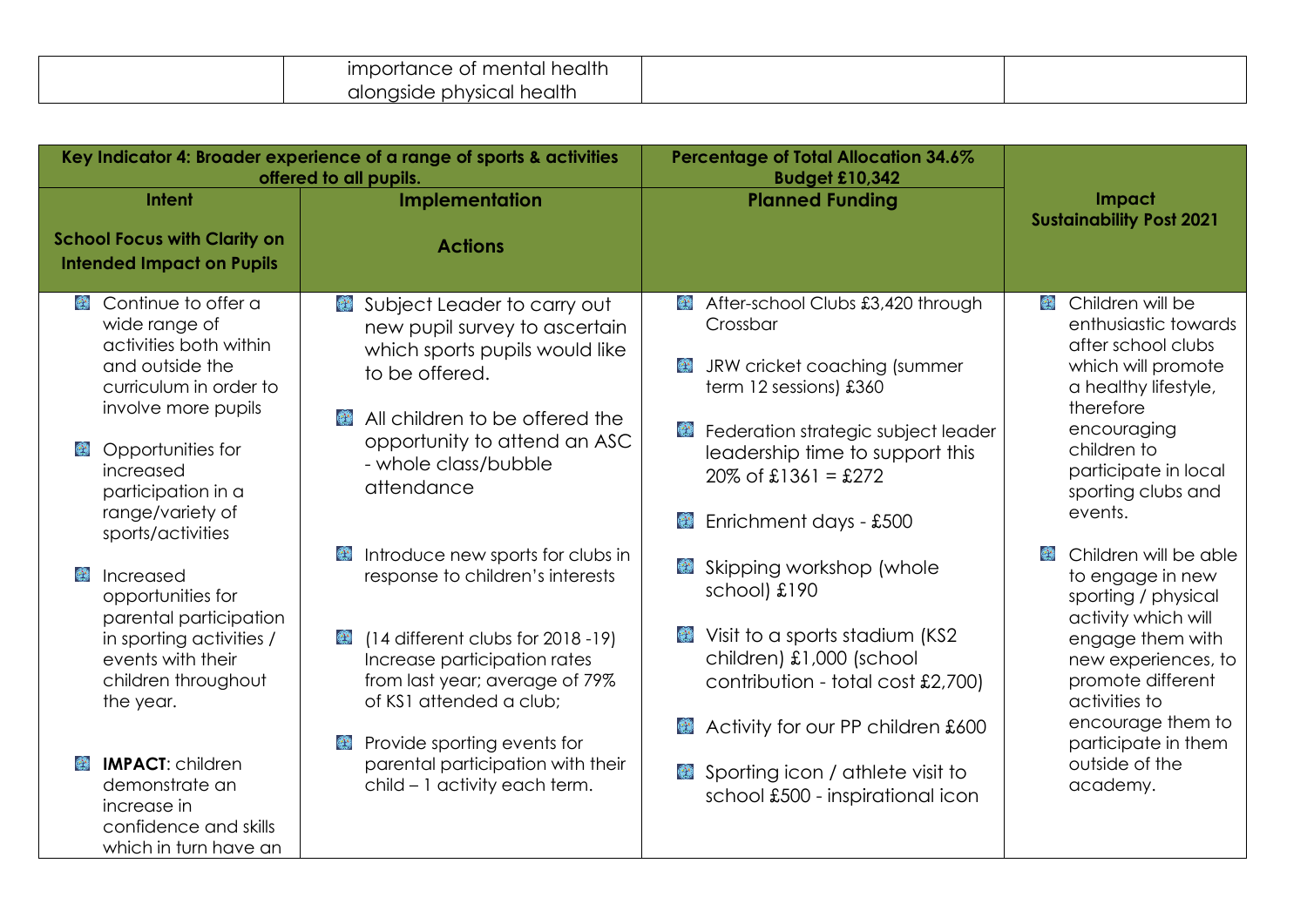| importance of mental health |  |
|-----------------------------|--|
| alongside physical health   |  |

|                                                                                                                                                                        | Key Indicator 4: Broader experience of a range of sports & activities<br>offered to all pupils.                                                                                                                              | <b>Percentage of Total Allocation 34.6%</b><br><b>Budget £10,342</b>                                                                                                                   |                                                                                                                                                                                              |
|------------------------------------------------------------------------------------------------------------------------------------------------------------------------|------------------------------------------------------------------------------------------------------------------------------------------------------------------------------------------------------------------------------|----------------------------------------------------------------------------------------------------------------------------------------------------------------------------------------|----------------------------------------------------------------------------------------------------------------------------------------------------------------------------------------------|
| Intent<br><b>School Focus with Clarity on</b><br><b>Intended Impact on Pupils</b>                                                                                      | <b>Implementation</b><br><b>Actions</b>                                                                                                                                                                                      | <b>Planned Funding</b>                                                                                                                                                                 | Impact<br><b>Sustainability Post 2021</b>                                                                                                                                                    |
| Secontinue to offer a<br>wide range of<br>activities both within<br>and outside the<br>curriculum in order to<br>involve more pupils<br>Opportunities for<br>increased | Subject Leader to carry out<br>❤<br>new pupil survey to ascertain<br>which sports pupils would like<br>to be offered.<br>All children to be offered the<br><b>CO</b><br>opportunity to attend an ASC<br>- whole class/bubble | After-school Clubs £3,420 through<br>Crossbar<br>JRW cricket coaching (summer<br>term 12 sessions) £360<br>۳<br>Federation strategic subject leader<br>leadership time to support this | Children will be<br>$\bullet$<br>enthusiastic towards<br>after school clubs<br>which will promote<br>a healthy lifestyle,<br>therefore<br>encouraging<br>children to<br>participate in local |
| participation in a<br>range/variety of<br>sports/activities<br>Increased<br>opportunities for                                                                          | attendance<br>Introduce new sports for clubs in<br>response to children's interests                                                                                                                                          | $20\%$ of £1361 = £272<br>Enrichment days - £500<br>Skipping workshop (whole<br>٤<br>school) £190                                                                                      | sporting clubs and<br>events.<br>Children will be able<br>to engage in new<br>sporting / physical                                                                                            |
| parental participation<br>in sporting activities /<br>events with their<br>children throughout<br>the year.                                                            | (14 different clubs for 2018 -19)<br>$\mathbf{C}$<br>Increase participation rates<br>from last year; average of 79%<br>of KS1 attended a club;<br>Provide sporting events for<br>$\mathcal{L}^{\mathcal{A}}$                 | Visit to a sports stadium (KS2<br>children) £1,000 (school<br>contribution - total cost £2,700)<br>Activity for our PP children £600                                                   | activity which will<br>engage them with<br>new experiences, to<br>promote different<br>activities to<br>encourage them to<br>participate in them                                             |
| <b>IMPACT: children</b><br>demonstrate an<br>increase in<br>confidence and skills<br>which in turn have an                                                             | parental participation with their<br>child - 1 activity each term.                                                                                                                                                           | Sporting icon / athlete visit to<br>school £500 - inspirational icon                                                                                                                   | outside of the<br>academy.                                                                                                                                                                   |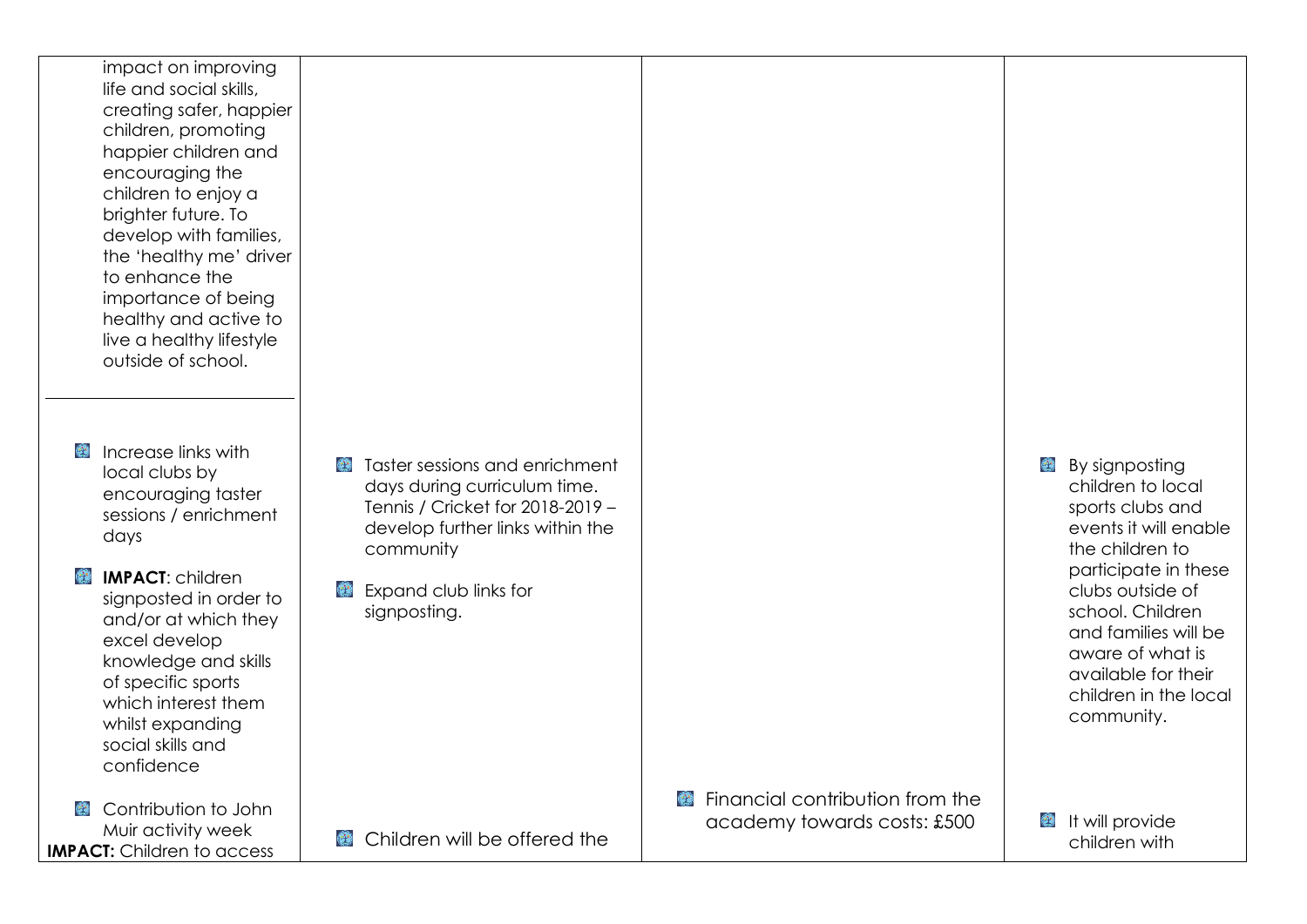impact on improving life and social skills, creating safer, happier children, promoting happier children and encouraging the children to enjoy a brighter future. To develop with families, the 'healthy me' driver to enhance the importance of being healthy and active to live a healthy lifestyle outside of school.

**E** Increase links with local clubs by encouraging taster sessions / enrichment days

**IMPACT:** children signposted in order to and/or at which they excel develop knowledge and skills of specific sports which interest them whilst expanding social skills and confidence

Contribution to John  $\mathbf{C}$ Muir activity week **IMPACT:** Children to access

- **Taster sessions and enrichment** days during curriculum time. Tennis / Cricket for 2018-2019 – develop further links within the community
- Expand club links for ❤ sianpostina.

**E** Financial contribution from the academy towards costs: £500

**By signposting** children to local sports clubs and events it will enable the children to participate in these clubs outside of school. Children and families will be aware of what is available for their children in the local community.

 $\bigoplus$  It will provide children with

**E** Children will be offered the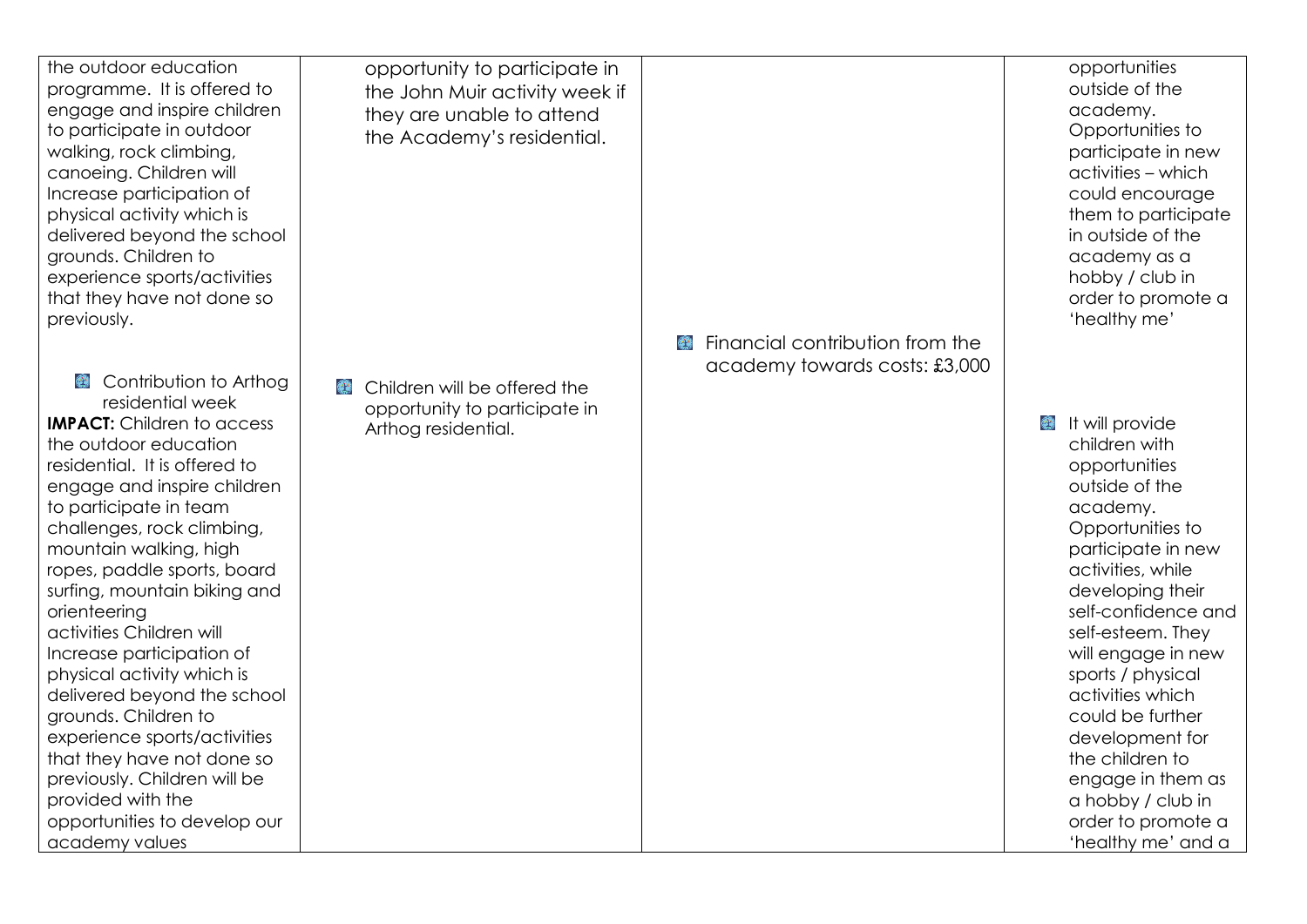| the outdoor education<br>programme. It is offered to<br>engage and inspire children<br>to participate in outdoor<br>walking, rock climbing,<br>canoeing. Children will<br>Increase participation of<br>physical activity which is<br>delivered beyond the school<br>grounds. Children to<br>experience sports/activities<br>that they have not done so<br>previously.                                                                                                                                                                                                                                                                                        | opportunity to participate in<br>the John Muir activity week if<br>they are unable to attend<br>the Academy's residential. | Financial contribution from the<br>academy towards costs: £3,000 | opportunities<br>outside of the<br>academy.<br>Opportunities to<br>participate in new<br>activities - which<br>could encourage<br>them to participate<br>in outside of the<br>academy as a<br>hobby / club in<br>order to promote a<br>'healthy me'                                                                                                                                                                                        |
|--------------------------------------------------------------------------------------------------------------------------------------------------------------------------------------------------------------------------------------------------------------------------------------------------------------------------------------------------------------------------------------------------------------------------------------------------------------------------------------------------------------------------------------------------------------------------------------------------------------------------------------------------------------|----------------------------------------------------------------------------------------------------------------------------|------------------------------------------------------------------|--------------------------------------------------------------------------------------------------------------------------------------------------------------------------------------------------------------------------------------------------------------------------------------------------------------------------------------------------------------------------------------------------------------------------------------------|
| Contribution to Arthog<br>residential week<br><b>IMPACT:</b> Children to access<br>the outdoor education<br>residential. It is offered to<br>engage and inspire children<br>to participate in team<br>challenges, rock climbing,<br>mountain walking, high<br>ropes, paddle sports, board<br>surfing, mountain biking and<br>orienteering<br>activities Children will<br>Increase participation of<br>physical activity which is<br>delivered beyond the school<br>grounds. Children to<br>experience sports/activities<br>that they have not done so<br>previously. Children will be<br>provided with the<br>opportunities to develop our<br>academy values | Children will be offered the<br>$\left(\frac{1}{2}\right)^{1/2}$<br>opportunity to participate in<br>Arthog residential.   |                                                                  | It will provide<br>$\bullet$<br>children with<br>opportunities<br>outside of the<br>academy.<br>Opportunities to<br>participate in new<br>activities, while<br>developing their<br>self-confidence and<br>self-esteem. They<br>will engage in new<br>sports / physical<br>activities which<br>could be further<br>development for<br>the children to<br>engage in them as<br>a hobby / club in<br>order to promote a<br>'healthy me' and a |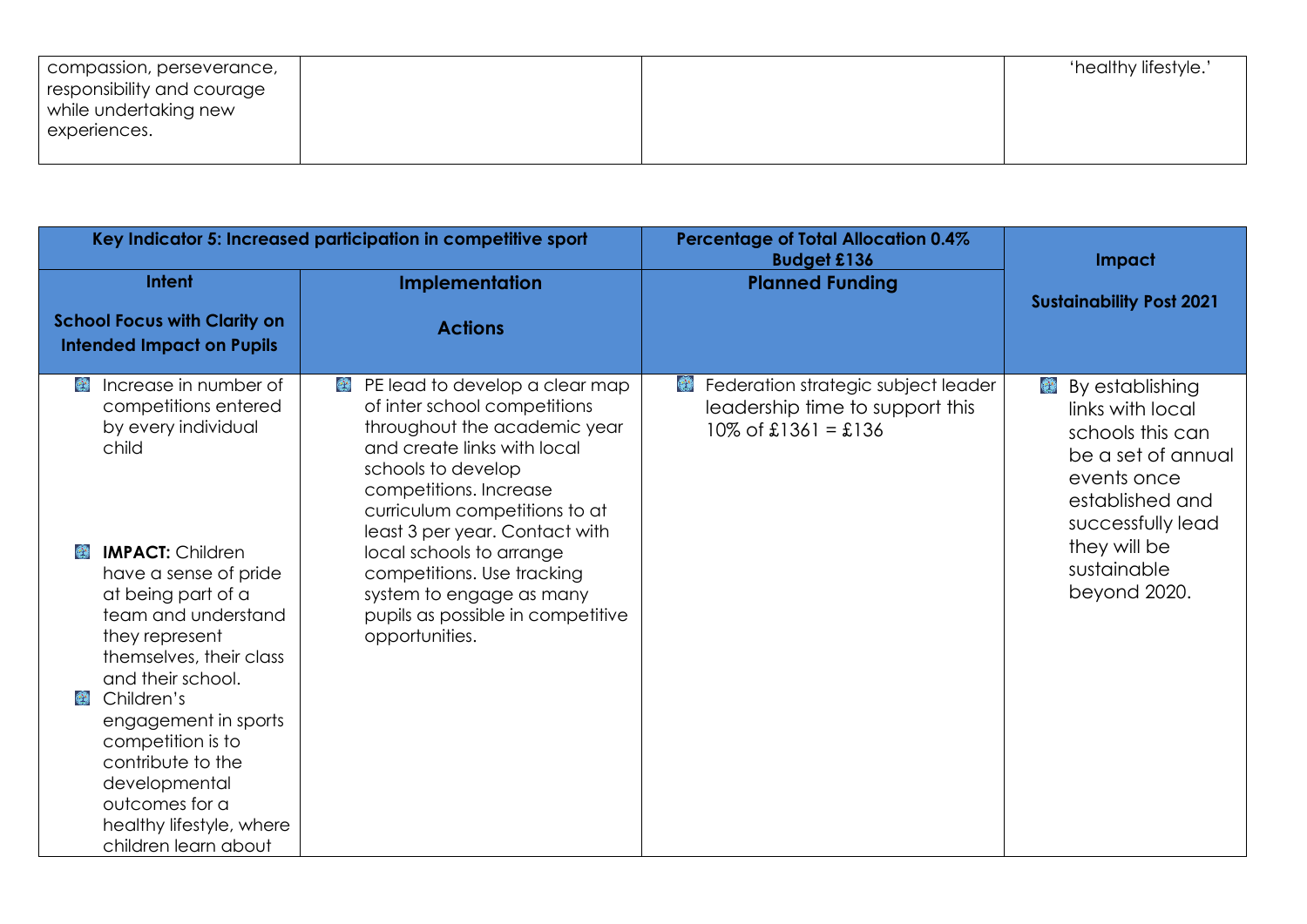| compassion, perseverance,  |  | 'healthy lifestyle.' |
|----------------------------|--|----------------------|
| responsibility and courage |  |                      |
| while undertaking new      |  |                      |
| experiences.               |  |                      |
|                            |  |                      |

|                                                                                                                                                                           | Key Indicator 5: Increased participation in competitive sport                                                                                                                                                                                         | <b>Percentage of Total Allocation 0.4%</b><br><b>Budget £136</b>                                 | Impact                                                                                                                                       |
|---------------------------------------------------------------------------------------------------------------------------------------------------------------------------|-------------------------------------------------------------------------------------------------------------------------------------------------------------------------------------------------------------------------------------------------------|--------------------------------------------------------------------------------------------------|----------------------------------------------------------------------------------------------------------------------------------------------|
| Intent<br><b>School Focus with Clarity on</b>                                                                                                                             | Implementation                                                                                                                                                                                                                                        | <b>Planned Funding</b>                                                                           | <b>Sustainability Post 2021</b>                                                                                                              |
| <b>Intended Impact on Pupils</b>                                                                                                                                          | <b>Actions</b>                                                                                                                                                                                                                                        |                                                                                                  |                                                                                                                                              |
| Increase in number of<br>٤<br>competitions entered<br>by every individual<br>child                                                                                        | PE lead to develop a clear map<br>❤<br>of inter school competitions<br>throughout the academic year<br>and create links with local<br>schools to develop<br>competitions. Increase<br>curriculum competitions to at<br>least 3 per year. Contact with | Federation strategic subject leader<br>leadership time to support this<br>$10\%$ of £1361 = £136 | By establishing<br>ومنا<br>links with local<br>schools this can<br>be a set of annual<br>events once<br>established and<br>successfully lead |
| ٤<br><b>IMPACT: Children</b><br>have a sense of pride<br>at being part of a<br>team and understand<br>they represent<br>themselves, their class<br>and their school.      | local schools to arrange<br>competitions. Use tracking<br>system to engage as many<br>pupils as possible in competitive<br>opportunities.                                                                                                             |                                                                                                  | they will be<br>sustainable<br>beyond 2020.                                                                                                  |
| Children's<br>وي<br>engagement in sports<br>competition is to<br>contribute to the<br>developmental<br>outcomes for a<br>healthy lifestyle, where<br>children learn about |                                                                                                                                                                                                                                                       |                                                                                                  |                                                                                                                                              |